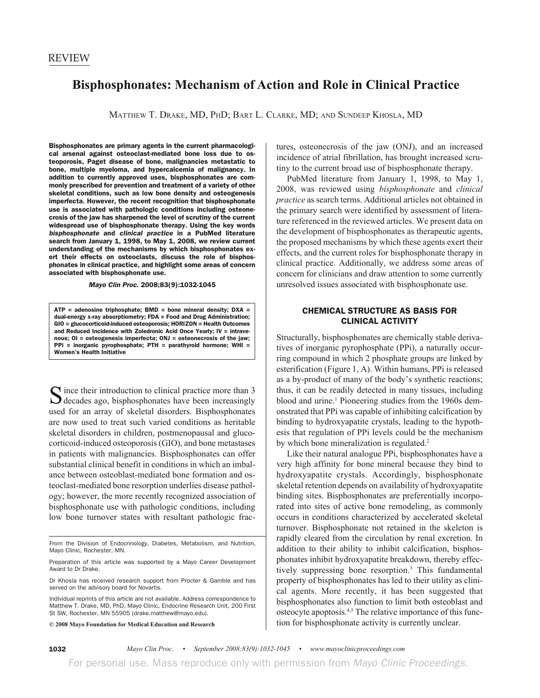# **Bisphosphonates: Mechanism of Action and Role in Clinical Practice**

MATTHEW T. DRAKE, MD, PHD; BART L. CLARKE, MD; AND SUNDEEP KHOSLA, MD

Bisphosphonates are primary agents in the current pharmacological arsenal against osteoclast-mediated bone loss due to osteoporosis, Paget disease of bone, malignancies metastatic to bone, multiple myeloma, and hypercalcemia of malignancy. In addition to currently approved uses, bisphosphonates are commonly prescribed for prevention and treatment of a variety of other skeletal conditions, such as low bone density and osteogenesis imperfecta. However, the recent recognition that bisphosphonate use is associated with pathologic conditions including osteonecrosis of the jaw has sharpened the level of scrutiny of the current widespread use of bisphosphonate therapy. Using the key words bisphosphonate and clinical practice in a PubMed literature search from January 1, 1998, to May 1, 2008, we review current understanding of the mechanisms by which bisphosphonates exert their effects on osteoclasts, discuss the role of bisphosphonates in clinical practice, and highlight some areas of concern associated with bisphosphonate use.

Mayo Clin Proc. 2008;83(9):1032-1045

 $ATP = adenosine triphosphate; BMD = bone mineral density; DXA =$ dual-energy x-ray absorptiometry; FDA = Food and Drug Administration; GIO = glucocorticoid-induced osteoporosis; HORIZON = Health Outcomes and Reduced Incidence with Zoledronic Acid Once Yearly; IV = intravenous; OI = osteogenesis imperfecta; ONJ = osteonecrosis of the jaw;  $PPi$  = inorganic pyrophosphate;  $PTH$  = parathyroid hormone; WHI = Women's Health Initiative

Since their introduction to clinical practice more than 3 decades ago, bisphosphonates have been increasingly used for an array of skeletal disorders. Bisphosphonates are now used to treat such varied conditions as heritable skeletal disorders in children, postmenopausal and glucocorticoid-induced osteoporosis (GIO), and bone metastases in patients with malignancies. Bisphosphonates can offer substantial clinical benefit in conditions in which an imbalance between osteoblast-mediated bone formation and osteoclast-mediated bone resorption underlies disease pathology; however, the more recently recognized association of bisphosphonate use with pathologic conditions, including low bone turnover states with resultant pathologic frac-

From the Division of Endocrinology, Diabetes, Metabolism, and Nutrition, Mayo Clinic, Rochester, MN.

Dr Khosla has received research support from Procter & Gamble and has served on the advisory board for Novartis.

Individual reprints of this article are not available. Address correspondence to Matthew T. Drake, MD, PhD, Mayo Clinic, Endocrine Research Unit, 200 First St SW, Rochester, MN 55905 (drake.matthew@mayo.edu).

**© 2008 Mayo Foundation for Medical Education and Research**

tures, osteonecrosis of the jaw (ONJ), and an increased incidence of atrial fibrillation, has brought increased scrutiny to the current broad use of bisphosphonate therapy.

PubMed literature from January 1, 1998, to May 1, 2008, was reviewed using *bisphosphonate* and *clinical practice* as search terms. Additional articles not obtained in the primary search were identified by assessment of literature referenced in the reviewed articles. We present data on the development of bisphosphonates as therapeutic agents, the proposed mechanisms by which these agents exert their effects, and the current roles for bisphosphonate therapy in clinical practice. Additionally, we address some areas of concern for clinicians and draw attention to some currently unresolved issues associated with bisphosphonate use.

# CHEMICAL STRUCTURE AS BASIS FOR CLINICAL ACTIVITY

Structurally, bisphosphonates are chemically stable derivatives of inorganic pyrophosphate (PPi), a naturally occurring compound in which 2 phosphate groups are linked by esterification (Figure 1, A). Within humans, PPi is released as a by-product of many of the body's synthetic reactions; thus, it can be readily detected in many tissues, including blood and urine.<sup>1</sup> Pioneering studies from the 1960s demonstrated that PPi was capable of inhibiting calcification by binding to hydroxyapatite crystals, leading to the hypothesis that regulation of PPi levels could be the mechanism by which bone mineralization is regulated.<sup>2</sup>

Like their natural analogue PPi, bisphosphonates have a very high affinity for bone mineral because they bind to hydroxyapatite crystals. Accordingly, bisphosphonate skeletal retention depends on availability of hydroxyapatite binding sites. Bisphosphonates are preferentially incorporated into sites of active bone remodeling, as commonly occurs in conditions characterized by accelerated skeletal turnover. Bisphosphonate not retained in the skeleton is rapidly cleared from the circulation by renal excretion. In addition to their ability to inhibit calcification, bisphosphonates inhibit hydroxyapatite breakdown, thereby effectively suppressing bone resorption.3 This fundamental property of bisphosphonates has led to their utility as clinical agents. More recently, it has been suggested that bisphosphonates also function to limit both osteoblast and osteocyte apoptosis.4,5 The relative importance of this function for bisphosphonate activity is currently unclear.

1032 *Mayo Clin Proc. • September 2008;83(9):1032-1045 • www.mayoclinicproceedings.com*

For personal use. Mass reproduce only with permission from Mayo Clinic Proceedings.

Preparation of this article was supported by a Mayo Career Development Award to Dr Drake.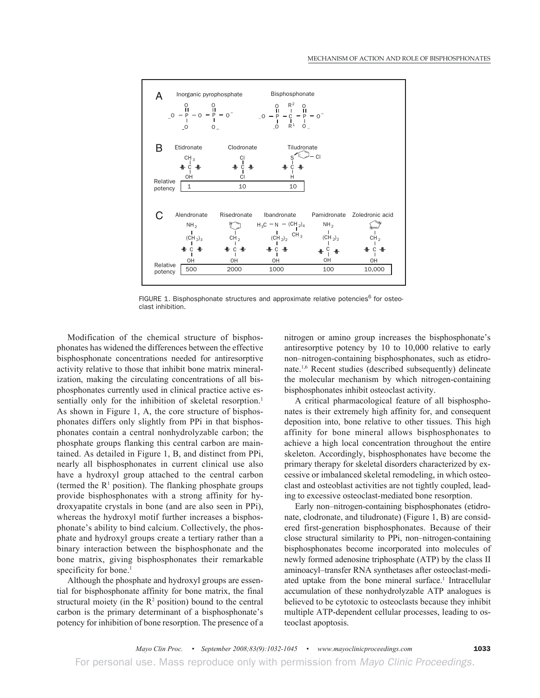

FIGURE 1. Bisphosphonate structures and approximate relative potencies<sup>6</sup> for osteoclast inhibition.

Modification of the chemical structure of bisphosphonates has widened the differences between the effective bisphosphonate concentrations needed for antiresorptive activity relative to those that inhibit bone matrix mineralization, making the circulating concentrations of all bisphosphonates currently used in clinical practice active essentially only for the inhibition of skeletal resorption.<sup>1</sup> As shown in Figure 1, A, the core structure of bisphosphonates differs only slightly from PPi in that bisphosphonates contain a central nonhydrolyzable carbon; the phosphate groups flanking this central carbon are maintained. As detailed in Figure 1, B, and distinct from PPi, nearly all bisphosphonates in current clinical use also have a hydroxyl group attached to the central carbon (termed the  $R<sup>1</sup>$  position). The flanking phosphate groups provide bisphosphonates with a strong affinity for hydroxyapatite crystals in bone (and are also seen in PPi), whereas the hydroxyl motif further increases a bisphosphonate's ability to bind calcium. Collectively, the phosphate and hydroxyl groups create a tertiary rather than a binary interaction between the bisphosphonate and the bone matrix, giving bisphosphonates their remarkable specificity for bone.<sup>1</sup>

Although the phosphate and hydroxyl groups are essential for bisphosphonate affinity for bone matrix, the final structural moiety (in the  $R<sup>2</sup>$  position) bound to the central carbon is the primary determinant of a bisphosphonate's potency for inhibition of bone resorption. The presence of a

nitrogen or amino group increases the bisphosphonate's antiresorptive potency by 10 to 10,000 relative to early non–nitrogen-containing bisphosphonates, such as etidronate.1,6 Recent studies (described subsequently) delineate the molecular mechanism by which nitrogen-containing bisphosphonates inhibit osteoclast activity.

A critical pharmacological feature of all bisphosphonates is their extremely high affinity for, and consequent deposition into, bone relative to other tissues. This high affinity for bone mineral allows bisphosphonates to achieve a high local concentration throughout the entire skeleton. Accordingly, bisphosphonates have become the primary therapy for skeletal disorders characterized by excessive or imbalanced skeletal remodeling, in which osteoclast and osteoblast activities are not tightly coupled, leading to excessive osteoclast-mediated bone resorption.

Early non–nitrogen-containing bisphosphonates (etidronate, clodronate, and tiludronate) (Figure 1, B) are considered first-generation bisphosphonates. Because of their close structural similarity to PPi, non–nitrogen-containing bisphosphonates become incorporated into molecules of newly formed adenosine triphosphate (ATP) by the class II aminoacyl–transfer RNA synthetases after osteoclast-mediated uptake from the bone mineral surface.<sup>1</sup> Intracellular accumulation of these nonhydrolyzable ATP analogues is believed to be cytotoxic to osteoclasts because they inhibit multiple ATP-dependent cellular processes, leading to osteoclast apoptosis.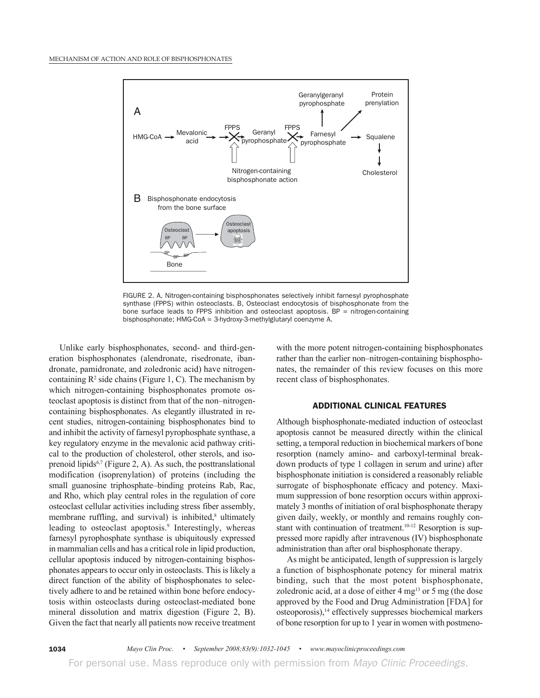

FIGURE 2. A, Nitrogen-containing bisphosphonates selectively inhibit farnesyl pyrophosphate synthase (FPPS) within osteoclasts. B, Osteoclast endocytosis of bisphosphonate from the bone surface leads to FPPS inhibition and osteoclast apoptosis.  $BP = nitrogen\text{-}containing$ bisphosphonate; HMG-CoA = 3-hydroxy-3-methylglutaryl coenzyme A.

Unlike early bisphosphonates, second- and third-generation bisphosphonates (alendronate, risedronate, ibandronate, pamidronate, and zoledronic acid) have nitrogencontaining  $\mathbb{R}^2$  side chains (Figure 1, C). The mechanism by which nitrogen-containing bisphosphonates promote osteoclast apoptosis is distinct from that of the non–nitrogencontaining bisphosphonates. As elegantly illustrated in recent studies, nitrogen-containing bisphosphonates bind to and inhibit the activity of farnesyl pyrophosphate synthase, a key regulatory enzyme in the mevalonic acid pathway critical to the production of cholesterol, other sterols, and isoprenoid lipids<sup>6,7</sup> (Figure 2, A). As such, the posttranslational modification (isoprenylation) of proteins (including the small guanosine triphosphate–binding proteins Rab, Rac, and Rho, which play central roles in the regulation of core osteoclast cellular activities including stress fiber assembly, membrane ruffling, and survival) is inhibited,<sup>8</sup> ultimately leading to osteoclast apoptosis.<sup>9</sup> Interestingly, whereas farnesyl pyrophosphate synthase is ubiquitously expressed in mammalian cells and has a critical role in lipid production, cellular apoptosis induced by nitrogen-containing bisphosphonates appears to occur only in osteoclasts. This is likely a direct function of the ability of bisphosphonates to selectively adhere to and be retained within bone before endocytosis within osteoclasts during osteoclast-mediated bone mineral dissolution and matrix digestion (Figure 2, B). Given the fact that nearly all patients now receive treatment

with the more potent nitrogen-containing bisphosphonates rather than the earlier non–nitrogen-containing bisphosphonates, the remainder of this review focuses on this more recent class of bisphosphonates.

# ADDITIONAL CLINICAL FEATURES

Although bisphosphonate-mediated induction of osteoclast apoptosis cannot be measured directly within the clinical setting, a temporal reduction in biochemical markers of bone resorption (namely amino- and carboxyl-terminal breakdown products of type 1 collagen in serum and urine) after bisphosphonate initiation is considered a reasonably reliable surrogate of bisphosphonate efficacy and potency. Maximum suppression of bone resorption occurs within approximately 3 months of initiation of oral bisphosphonate therapy given daily, weekly, or monthly and remains roughly constant with continuation of treatment.<sup>10-12</sup> Resorption is suppressed more rapidly after intravenous (IV) bisphosphonate administration than after oral bisphosphonate therapy.

As might be anticipated, length of suppression is largely a function of bisphosphonate potency for mineral matrix binding, such that the most potent bisphosphonate, zoledronic acid, at a dose of either 4 mg<sup>13</sup> or 5 mg (the dose approved by the Food and Drug Administration [FDA] for osteoporosis),14 effectively suppresses biochemical markers of bone resorption for up to 1 year in women with postmeno-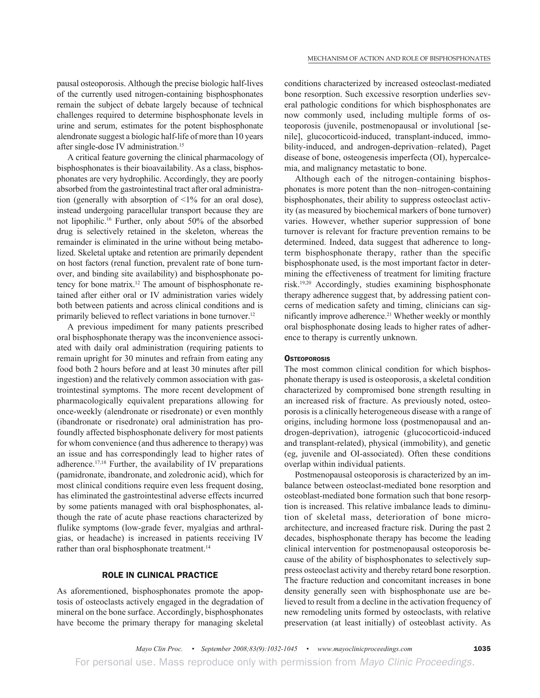pausal osteoporosis. Although the precise biologic half-lives of the currently used nitrogen-containing bisphosphonates remain the subject of debate largely because of technical challenges required to determine bisphosphonate levels in urine and serum, estimates for the potent bisphosphonate alendronate suggest a biologic half-life of more than 10 years after single-dose IV administration.15

A critical feature governing the clinical pharmacology of bisphosphonates is their bioavailability. As a class, bisphosphonates are very hydrophilic. Accordingly, they are poorly absorbed from the gastrointestinal tract after oral administration (generally with absorption of  $\leq 1\%$  for an oral dose), instead undergoing paracellular transport because they are not lipophilic.16 Further, only about 50% of the absorbed drug is selectively retained in the skeleton, whereas the remainder is eliminated in the urine without being metabolized. Skeletal uptake and retention are primarily dependent on host factors (renal function, prevalent rate of bone turnover, and binding site availability) and bisphosphonate potency for bone matrix.<sup>12</sup> The amount of bisphosphonate retained after either oral or IV administration varies widely both between patients and across clinical conditions and is primarily believed to reflect variations in bone turnover.12

A previous impediment for many patients prescribed oral bisphosphonate therapy was the inconvenience associated with daily oral administration (requiring patients to remain upright for 30 minutes and refrain from eating any food both 2 hours before and at least 30 minutes after pill ingestion) and the relatively common association with gastrointestinal symptoms. The more recent development of pharmacologically equivalent preparations allowing for once-weekly (alendronate or risedronate) or even monthly (ibandronate or risedronate) oral administration has profoundly affected bisphosphonate delivery for most patients for whom convenience (and thus adherence to therapy) was an issue and has correspondingly lead to higher rates of adherence.17,18 Further, the availability of IV preparations (pamidronate, ibandronate, and zoledronic acid), which for most clinical conditions require even less frequent dosing, has eliminated the gastrointestinal adverse effects incurred by some patients managed with oral bisphosphonates, although the rate of acute phase reactions characterized by flulike symptoms (low-grade fever, myalgias and arthralgias, or headache) is increased in patients receiving IV rather than oral bisphosphonate treatment.<sup>14</sup>

### ROLE IN CLINICAL PRACTICE

As aforementioned, bisphosphonates promote the apoptosis of osteoclasts actively engaged in the degradation of mineral on the bone surface. Accordingly, bisphosphonates have become the primary therapy for managing skeletal

conditions characterized by increased osteoclast-mediated bone resorption. Such excessive resorption underlies several pathologic conditions for which bisphosphonates are now commonly used, including multiple forms of osteoporosis (juvenile, postmenopausal or involutional [senile], glucocorticoid-induced, transplant-induced, immobility-induced, and androgen-deprivation–related), Paget disease of bone, osteogenesis imperfecta (OI), hypercalcemia, and malignancy metastatic to bone.

Although each of the nitrogen-containing bisphosphonates is more potent than the non–nitrogen-containing bisphosphonates, their ability to suppress osteoclast activity (as measured by biochemical markers of bone turnover) varies. However, whether superior suppression of bone turnover is relevant for fracture prevention remains to be determined. Indeed, data suggest that adherence to longterm bisphosphonate therapy, rather than the specific bisphosphonate used, is the most important factor in determining the effectiveness of treatment for limiting fracture risk.19,20 Accordingly, studies examining bisphosphonate therapy adherence suggest that, by addressing patient concerns of medication safety and timing, clinicians can significantly improve adherence.<sup>21</sup> Whether weekly or monthly oral bisphosphonate dosing leads to higher rates of adherence to therapy is currently unknown.

#### **OSTEOPOROSIS**

The most common clinical condition for which bisphosphonate therapy is used is osteoporosis, a skeletal condition characterized by compromised bone strength resulting in an increased risk of fracture. As previously noted, osteoporosis is a clinically heterogeneous disease with a range of origins, including hormone loss (postmenopausal and androgen-deprivation), iatrogenic (glucocorticoid-induced and transplant-related), physical (immobility), and genetic (eg, juvenile and OI-associated). Often these conditions overlap within individual patients.

Postmenopausal osteoporosis is characterized by an imbalance between osteoclast-mediated bone resorption and osteoblast-mediated bone formation such that bone resorption is increased. This relative imbalance leads to diminution of skeletal mass, deterioration of bone microarchitecture, and increased fracture risk. During the past 2 decades, bisphosphonate therapy has become the leading clinical intervention for postmenopausal osteoporosis because of the ability of bisphosphonates to selectively suppress osteoclast activity and thereby retard bone resorption. The fracture reduction and concomitant increases in bone density generally seen with bisphosphonate use are believed to result from a decline in the activation frequency of new remodeling units formed by osteoclasts, with relative preservation (at least initially) of osteoblast activity. As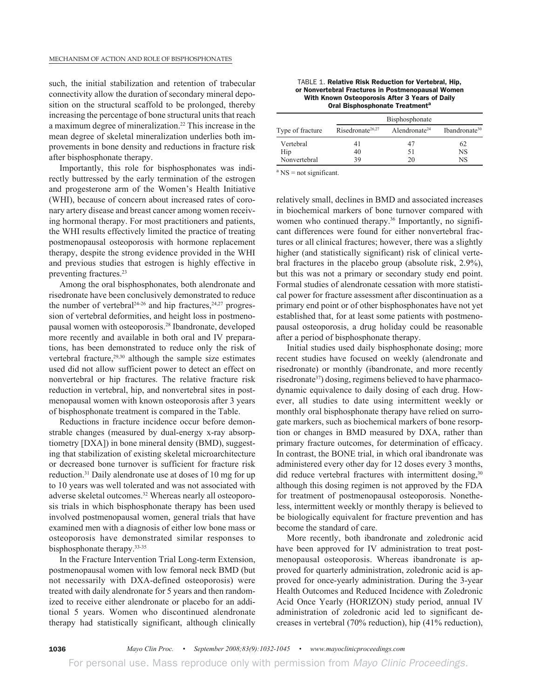such, the initial stabilization and retention of trabecular connectivity allow the duration of secondary mineral deposition on the structural scaffold to be prolonged, thereby increasing the percentage of bone structural units that reach a maximum degree of mineralization.22 This increase in the mean degree of skeletal mineralization underlies both improvements in bone density and reductions in fracture risk after bisphosphonate therapy.

Importantly, this role for bisphosphonates was indirectly buttressed by the early termination of the estrogen and progesterone arm of the Women's Health Initiative (WHI), because of concern about increased rates of coronary artery disease and breast cancer among women receiving hormonal therapy. For most practitioners and patients, the WHI results effectively limited the practice of treating postmenopausal osteoporosis with hormone replacement therapy, despite the strong evidence provided in the WHI and previous studies that estrogen is highly effective in preventing fractures.<sup>23</sup>

Among the oral bisphosphonates, both alendronate and risedronate have been conclusively demonstrated to reduce the number of vertebral<sup>24-26</sup> and hip fractures,<sup>24,27</sup> progression of vertebral deformities, and height loss in postmenopausal women with osteoporosis.28 Ibandronate, developed more recently and available in both oral and IV preparations, has been demonstrated to reduce only the risk of vertebral fracture,<sup>29,30</sup> although the sample size estimates used did not allow sufficient power to detect an effect on nonvertebral or hip fractures. The relative fracture risk reduction in vertebral, hip, and nonvertebral sites in postmenopausal women with known osteoporosis after 3 years of bisphosphonate treatment is compared in the Table.

Reductions in fracture incidence occur before demonstrable changes (measured by dual-energy x-ray absorptiometry [DXA]) in bone mineral density (BMD), suggesting that stabilization of existing skeletal microarchitecture or decreased bone turnover is sufficient for fracture risk reduction.<sup>31</sup> Daily alendronate use at doses of 10 mg for up to 10 years was well tolerated and was not associated with adverse skeletal outcomes.32 Whereas nearly all osteoporosis trials in which bisphosphonate therapy has been used involved postmenopausal women, general trials that have examined men with a diagnosis of either low bone mass or osteoporosis have demonstrated similar responses to bisphosphonate therapy.33-35

In the Fracture Intervention Trial Long-term Extension, postmenopausal women with low femoral neck BMD (but not necessarily with DXA-defined osteoporosis) were treated with daily alendronate for 5 years and then randomized to receive either alendronate or placebo for an additional 5 years. Women who discontinued alendronate therapy had statistically significant, although clinically

| <b>TABLE 1. Relative Risk Reduction for Vertebral, Hip.</b> |
|-------------------------------------------------------------|
| or Nonvertebral Fractures in Postmenopausal Women           |
| With Known Osteoporosis After 3 Years of Daily              |
| Oral Bisphosphonate Treatment <sup>a</sup>                  |

| Type of fracture | Bisphosphonate               |                           |                  |
|------------------|------------------------------|---------------------------|------------------|
|                  | Risedronate <sup>26,27</sup> | Alendronate <sup>24</sup> | Ibandronate $30$ |
| Vertebral        | 41                           | 41                        | 62               |
| Hip              | 40                           | 51                        | NS               |
| Nonvertebral     | 39                           | 20                        | NS               |

 $a$  NS = not significant.

relatively small, declines in BMD and associated increases in biochemical markers of bone turnover compared with women who continued therapy.<sup>36</sup> Importantly, no significant differences were found for either nonvertebral fractures or all clinical fractures; however, there was a slightly higher (and statistically significant) risk of clinical vertebral fractures in the placebo group (absolute risk, 2.9%), but this was not a primary or secondary study end point. Formal studies of alendronate cessation with more statistical power for fracture assessment after discontinuation as a primary end point or of other bisphosphonates have not yet established that, for at least some patients with postmenopausal osteoporosis, a drug holiday could be reasonable after a period of bisphosphonate therapy.

Initial studies used daily bisphosphonate dosing; more recent studies have focused on weekly (alendronate and risedronate) or monthly (ibandronate, and more recently risedronate<sup>37</sup>) dosing, regimens believed to have pharmacodynamic equivalence to daily dosing of each drug. However, all studies to date using intermittent weekly or monthly oral bisphosphonate therapy have relied on surrogate markers, such as biochemical markers of bone resorption or changes in BMD measured by DXA, rather than primary fracture outcomes, for determination of efficacy. In contrast, the BONE trial, in which oral ibandronate was administered every other day for 12 doses every 3 months, did reduce vertebral fractures with intermittent dosing,<sup>30</sup> although this dosing regimen is not approved by the FDA for treatment of postmenopausal osteoporosis. Nonetheless, intermittent weekly or monthly therapy is believed to be biologically equivalent for fracture prevention and has become the standard of care.

More recently, both ibandronate and zoledronic acid have been approved for IV administration to treat postmenopausal osteoporosis. Whereas ibandronate is approved for quarterly administration, zoledronic acid is approved for once-yearly administration. During the 3-year Health Outcomes and Reduced Incidence with Zoledronic Acid Once Yearly (HORIZON) study period, annual IV administration of zoledronic acid led to significant decreases in vertebral (70% reduction), hip (41% reduction),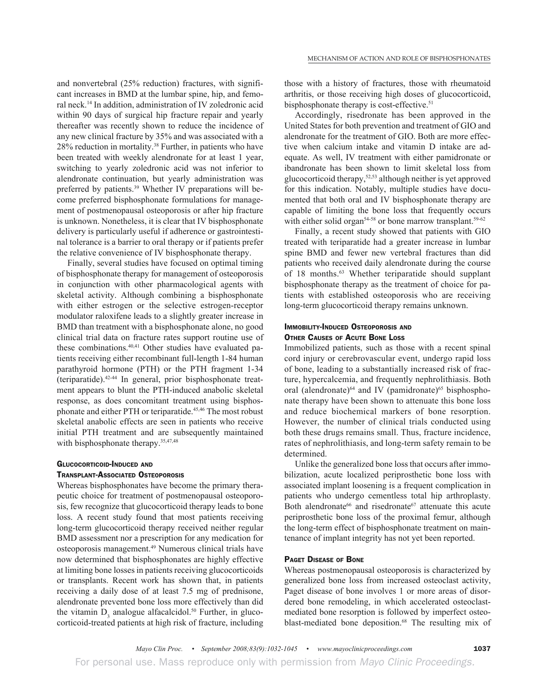ral neck.14 In addition, administration of IV zoledronic acid within 90 days of surgical hip fracture repair and yearly thereafter was recently shown to reduce the incidence of any new clinical fracture by 35% and was associated with a 28% reduction in mortality.38 Further, in patients who have been treated with weekly alendronate for at least 1 year, switching to yearly zoledronic acid was not inferior to alendronate continuation, but yearly administration was preferred by patients.<sup>39</sup> Whether IV preparations will become preferred bisphosphonate formulations for management of postmenopausal osteoporosis or after hip fracture is unknown. Nonetheless, it is clear that IV bisphosphonate delivery is particularly useful if adherence or gastrointestinal tolerance is a barrier to oral therapy or if patients prefer the relative convenience of IV bisphosphonate therapy.

Finally, several studies have focused on optimal timing of bisphosphonate therapy for management of osteoporosis in conjunction with other pharmacological agents with skeletal activity. Although combining a bisphosphonate with either estrogen or the selective estrogen-receptor modulator raloxifene leads to a slightly greater increase in BMD than treatment with a bisphosphonate alone, no good clinical trial data on fracture rates support routine use of these combinations.<sup>40,41</sup> Other studies have evaluated patients receiving either recombinant full-length 1-84 human parathyroid hormone (PTH) or the PTH fragment 1-34 (teriparatide).42-44 In general, prior bisphosphonate treatment appears to blunt the PTH-induced anabolic skeletal response, as does concomitant treatment using bisphosphonate and either PTH or teriparatide.<sup>45,46</sup> The most robust skeletal anabolic effects are seen in patients who receive initial PTH treatment and are subsequently maintained with bisphosphonate therapy.<sup>35,47,48</sup>

# GLUCOCORTICOID-INDUCED AND TRANSPLANT-ASSOCIATED OSTEOPOROSIS

Whereas bisphosphonates have become the primary therapeutic choice for treatment of postmenopausal osteoporosis, few recognize that glucocorticoid therapy leads to bone loss. A recent study found that most patients receiving long-term glucocorticoid therapy received neither regular BMD assessment nor a prescription for any medication for osteoporosis management.49 Numerous clinical trials have now determined that bisphosphonates are highly effective at limiting bone losses in patients receiving glucocorticoids or transplants. Recent work has shown that, in patients receiving a daily dose of at least 7.5 mg of prednisone, alendronate prevented bone loss more effectively than did the vitamin  $D_3$  analogue alfacalcidol.<sup>50</sup> Further, in glucocorticoid-treated patients at high risk of fracture, including those with a history of fractures, those with rheumatoid arthritis, or those receiving high doses of glucocorticoid, bisphosphonate therapy is cost-effective.<sup>51</sup>

Accordingly, risedronate has been approved in the United States for both prevention and treatment of GIO and alendronate for the treatment of GIO. Both are more effective when calcium intake and vitamin D intake are adequate. As well, IV treatment with either pamidronate or ibandronate has been shown to limit skeletal loss from glucocorticoid therapy,52,53 although neither is yet approved for this indication. Notably, multiple studies have documented that both oral and IV bisphosphonate therapy are capable of limiting the bone loss that frequently occurs with either solid organ<sup>54-58</sup> or bone marrow transplant.<sup>59-62</sup>

Finally, a recent study showed that patients with GIO treated with teriparatide had a greater increase in lumbar spine BMD and fewer new vertebral fractures than did patients who received daily alendronate during the course of 18 months.<sup>63</sup> Whether teriparatide should supplant bisphosphonate therapy as the treatment of choice for patients with established osteoporosis who are receiving long-term glucocorticoid therapy remains unknown.

# IMMOBILITY-INDUCED OSTEOPOROSIS AND OTHER CAUSES OF ACUTE BONE LOSS

Immobilized patients, such as those with a recent spinal cord injury or cerebrovascular event, undergo rapid loss of bone, leading to a substantially increased risk of fracture, hypercalcemia, and frequently nephrolithiasis. Both oral (alendronate) $64$  and IV (pamidronate) $65$  bisphosphonate therapy have been shown to attenuate this bone loss and reduce biochemical markers of bone resorption. However, the number of clinical trials conducted using both these drugs remains small. Thus, fracture incidence, rates of nephrolithiasis, and long-term safety remain to be determined.

Unlike the generalized bone loss that occurs after immobilization, acute localized periprosthetic bone loss with associated implant loosening is a frequent complication in patients who undergo cementless total hip arthroplasty. Both alendronate<sup>66</sup> and risedronate<sup>67</sup> attenuate this acute periprosthetic bone loss of the proximal femur, although the long-term effect of bisphosphonate treatment on maintenance of implant integrity has not yet been reported.

# PAGET DISEASE OF BONE

Whereas postmenopausal osteoporosis is characterized by generalized bone loss from increased osteoclast activity, Paget disease of bone involves 1 or more areas of disordered bone remodeling, in which accelerated osteoclastmediated bone resorption is followed by imperfect osteoblast-mediated bone deposition.<sup>68</sup> The resulting mix of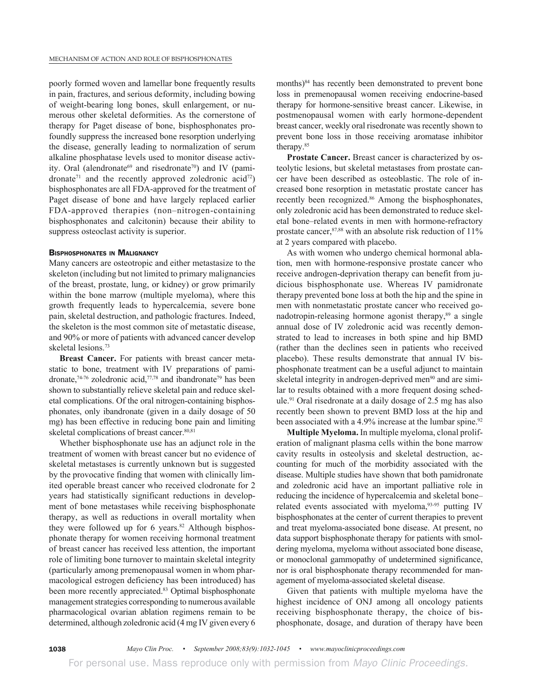poorly formed woven and lamellar bone frequently results in pain, fractures, and serious deformity, including bowing of weight-bearing long bones, skull enlargement, or numerous other skeletal deformities. As the cornerstone of therapy for Paget disease of bone, bisphosphonates profoundly suppress the increased bone resorption underlying the disease, generally leading to normalization of serum alkaline phosphatase levels used to monitor disease activity. Oral (alendronate $69$  and risedronate $70$ ) and IV (pamidronate<sup>71</sup> and the recently approved zoledronic acid<sup>72</sup>) bisphosphonates are all FDA-approved for the treatment of Paget disease of bone and have largely replaced earlier FDA-approved therapies (non–nitrogen-containing bisphosphonates and calcitonin) because their ability to suppress osteoclast activity is superior.

#### BISPHOSPHONATES IN MALIGNANCY

Many cancers are osteotropic and either metastasize to the skeleton (including but not limited to primary malignancies of the breast, prostate, lung, or kidney) or grow primarily within the bone marrow (multiple myeloma), where this growth frequently leads to hypercalcemia, severe bone pain, skeletal destruction, and pathologic fractures. Indeed, the skeleton is the most common site of metastatic disease, and 90% or more of patients with advanced cancer develop skeletal lesions.73

**Breast Cancer.** For patients with breast cancer metastatic to bone, treatment with IV preparations of pamidronate, $74-76$  zoledronic acid, $77.78$  and ibandronate $79$  has been shown to substantially relieve skeletal pain and reduce skeletal complications. Of the oral nitrogen-containing bisphosphonates, only ibandronate (given in a daily dosage of 50 mg) has been effective in reducing bone pain and limiting skeletal complications of breast cancer.<sup>80,81</sup>

Whether bisphosphonate use has an adjunct role in the treatment of women with breast cancer but no evidence of skeletal metastases is currently unknown but is suggested by the provocative finding that women with clinically limited operable breast cancer who received clodronate for 2 years had statistically significant reductions in development of bone metastases while receiving bisphosphonate therapy, as well as reductions in overall mortality when they were followed up for 6 years.<sup>82</sup> Although bisphosphonate therapy for women receiving hormonal treatment of breast cancer has received less attention, the important role of limiting bone turnover to maintain skeletal integrity (particularly among premenopausal women in whom pharmacological estrogen deficiency has been introduced) has been more recently appreciated.<sup>83</sup> Optimal bisphosphonate management strategies corresponding to numerous available pharmacological ovarian ablation regimens remain to be determined, although zoledronic acid (4 mg IV given every 6

months)<sup>84</sup> has recently been demonstrated to prevent bone loss in premenopausal women receiving endocrine-based therapy for hormone-sensitive breast cancer. Likewise, in postmenopausal women with early hormone-dependent breast cancer, weekly oral risedronate was recently shown to prevent bone loss in those receiving aromatase inhibitor therapy.<sup>85</sup>

**Prostate Cancer.** Breast cancer is characterized by osteolytic lesions, but skeletal metastases from prostate cancer have been described as osteoblastic. The role of increased bone resorption in metastatic prostate cancer has recently been recognized.<sup>86</sup> Among the bisphosphonates, only zoledronic acid has been demonstrated to reduce skeletal bone–related events in men with hormone-refractory prostate cancer, <sup>87,88</sup> with an absolute risk reduction of 11% at 2 years compared with placebo.

As with women who undergo chemical hormonal ablation, men with hormone-responsive prostate cancer who receive androgen-deprivation therapy can benefit from judicious bisphosphonate use. Whereas IV pamidronate therapy prevented bone loss at both the hip and the spine in men with nonmetastatic prostate cancer who received gonadotropin-releasing hormone agonist therapy,<sup>89</sup> a single annual dose of IV zoledronic acid was recently demonstrated to lead to increases in both spine and hip BMD (rather than the declines seen in patients who received placebo). These results demonstrate that annual IV bisphosphonate treatment can be a useful adjunct to maintain skeletal integrity in androgen-deprived men<sup>90</sup> and are similar to results obtained with a more frequent dosing schedule.91 Oral risedronate at a daily dosage of 2.5 mg has also recently been shown to prevent BMD loss at the hip and been associated with a 4.9% increase at the lumbar spine.<sup>92</sup>

**Multiple Myeloma.** In multiple myeloma, clonal proliferation of malignant plasma cells within the bone marrow cavity results in osteolysis and skeletal destruction, accounting for much of the morbidity associated with the disease. Multiple studies have shown that both pamidronate and zoledronic acid have an important palliative role in reducing the incidence of hypercalcemia and skeletal bone– related events associated with myeloma, 93-95 putting IV bisphosphonates at the center of current therapies to prevent and treat myeloma-associated bone disease. At present, no data support bisphosphonate therapy for patients with smoldering myeloma, myeloma without associated bone disease, or monoclonal gammopathy of undetermined significance, nor is oral bisphosphonate therapy recommended for management of myeloma-associated skeletal disease.

Given that patients with multiple myeloma have the highest incidence of ONJ among all oncology patients receiving bisphosphonate therapy, the choice of bisphosphonate, dosage, and duration of therapy have been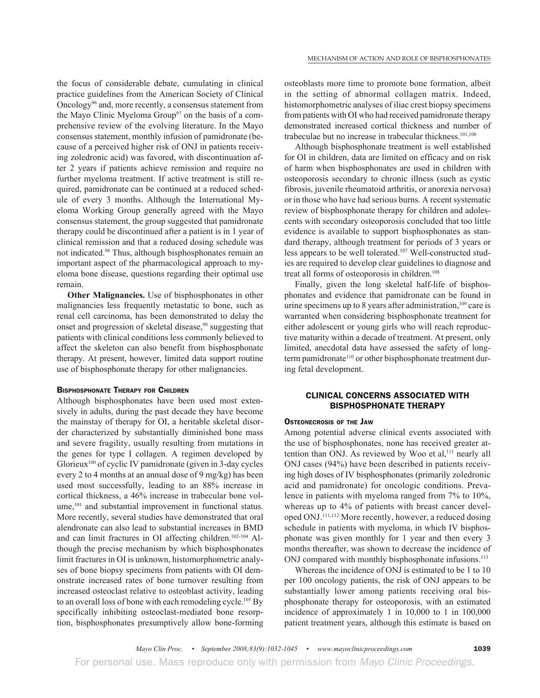the focus of considerable debate, cumulating in clinical practice guidelines from the American Society of Clinical Oncology<sup>96</sup> and, more recently, a consensus statement from the Mayo Clinic Myeloma Group<sup>97</sup> on the basis of a comprehensive review of the evolving literature. In the Mayo consensus statement, monthly infusion of pamidronate (because of a perceived higher risk of ONJ in patients receiving zoledronic acid) was favored, with discontinuation after 2 years if patients achieve remission and require no further myeloma treatment. If active treatment is still required, pamidronate can be continued at a reduced schedule of every 3 months. Although the International Myeloma Working Group generally agreed with the Mayo consensus statement, the group suggested that pamidronate therapy could be discontinued after a patient is in 1 year of clinical remission and that a reduced dosing schedule was not indicated.98 Thus, although bisphosphonates remain an important aspect of the pharmacological approach to myeloma bone disease, questions regarding their optimal use remain.

**Other Malignancies.** Use of bisphosphonates in other malignancies less frequently metastatic to bone, such as renal cell carcinoma, has been demonstrated to delay the onset and progression of skeletal disease,<sup>99</sup> suggesting that patients with clinical conditions less commonly believed to affect the skeleton can also benefit from bisphosphonate therapy. At present, however, limited data support routine use of bisphosphonate therapy for other malignancies.

#### BISPHOSPHONATE THERAPY FOR CHILDREN

Although bisphosphonates have been used most extensively in adults, during the past decade they have become the mainstay of therapy for OI, a heritable skeletal disorder characterized by substantially diminished bone mass and severe fragility, usually resulting from mutations in the genes for type I collagen. A regimen developed by Glorieux<sup>100</sup> of cyclic IV pamidronate (given in 3-day cycles every 2 to 4 months at an annual dose of 9 mg/kg) has been used most successfully, leading to an 88% increase in cortical thickness, a 46% increase in trabecular bone volume,<sup>101</sup> and substantial improvement in functional status. More recently, several studies have demonstrated that oral alendronate can also lead to substantial increases in BMD and can limit fractures in OI affecting children.<sup>102-104</sup> Although the precise mechanism by which bisphosphonates limit fractures in OI is unknown, histomorphometric analyses of bone biopsy specimens from patients with OI demonstrate increased rates of bone turnover resulting from increased osteoclast relative to osteoblast activity, leading to an overall loss of bone with each remodeling cycle.<sup>105</sup> By specifically inhibiting osteoclast-mediated bone resorption, bisphosphonates presumptively allow bone-forming

osteoblasts more time to promote bone formation, albeit in the setting of abnormal collagen matrix. Indeed, histomorphometric analyses of iliac crest biopsy specimens from patients with OI who had received pamidronate therapy demonstrated increased cortical thickness and number of trabeculae but no increase in trabecular thickness.101,106

Although bisphosphonate treatment is well established for OI in children, data are limited on efficacy and on risk of harm when bisphosphonates are used in children with osteoporosis secondary to chronic illness (such as cystic fibrosis, juvenile rheumatoid arthritis, or anorexia nervosa) or in those who have had serious burns. A recent systematic review of bisphosphonate therapy for children and adolescents with secondary osteoporosis concluded that too little evidence is available to support bisphosphonates as standard therapy, although treatment for periods of 3 years or less appears to be well tolerated.<sup>107</sup> Well-constructed studies are required to develop clear guidelines to diagnose and treat all forms of osteoporosis in children.<sup>108</sup>

Finally, given the long skeletal half-life of bisphosphonates and evidence that pamidronate can be found in urine specimens up to 8 years after administration,<sup>109</sup> care is warranted when considering bisphosphonate treatment for either adolescent or young girls who will reach reproductive maturity within a decade of treatment. At present, only limited, anecdotal data have assessed the safety of longterm pamidronate<sup>110</sup> or other bisphosphonate treatment during fetal development.

# CLINICAL CONCERNS ASSOCIATED WITH BISPHOSPHONATE THERAPY

#### OSTEONECROSIS OF THE JAW

Among potential adverse clinical events associated with the use of bisphosphonates, none has received greater attention than ONJ. As reviewed by Woo et al,<sup>111</sup> nearly all ONJ cases (94%) have been described in patients receiving high doses of IV bisphosphonates (primarily zoledronic acid and pamidronate) for oncologic conditions. Prevalence in patients with myeloma ranged from 7% to 10%, whereas up to 4% of patients with breast cancer developed ONJ.111,112 More recently, however, a reduced dosing schedule in patients with myeloma, in which IV bisphosphonate was given monthly for 1 year and then every 3 months thereafter, was shown to decrease the incidence of ONJ compared with monthly bisphosphonate infusions.<sup>113</sup>

Whereas the incidence of ONJ is estimated to be 1 to 10 per 100 oncology patients, the risk of ONJ appears to be substantially lower among patients receiving oral bisphosphonate therapy for osteoporosis, with an estimated incidence of approximately 1 in 10,000 to 1 in 100,000 patient treatment years, although this estimate is based on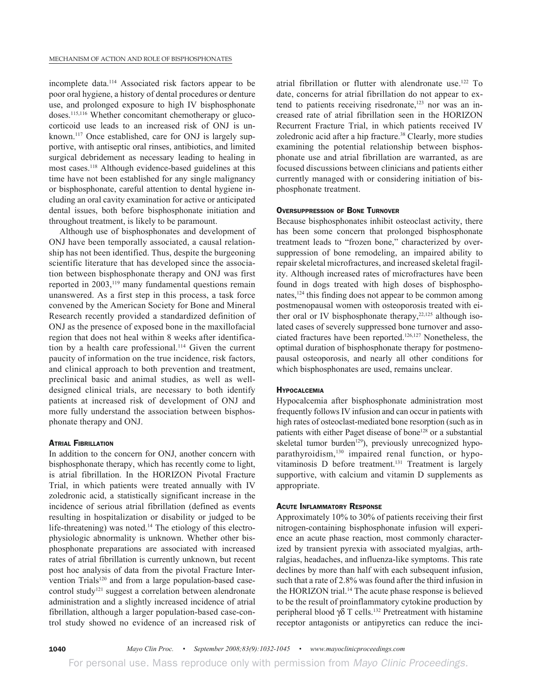incomplete data.114 Associated risk factors appear to be poor oral hygiene, a history of dental procedures or denture use, and prolonged exposure to high IV bisphosphonate doses.115,116 Whether concomitant chemotherapy or glucocorticoid use leads to an increased risk of ONJ is unknown.117 Once established, care for ONJ is largely supportive, with antiseptic oral rinses, antibiotics, and limited surgical debridement as necessary leading to healing in most cases.118 Although evidence-based guidelines at this time have not been established for any single malignancy or bisphosphonate, careful attention to dental hygiene including an oral cavity examination for active or anticipated dental issues, both before bisphosphonate initiation and throughout treatment, is likely to be paramount.

Although use of bisphosphonates and development of ONJ have been temporally associated, a causal relationship has not been identified. Thus, despite the burgeoning scientific literature that has developed since the association between bisphosphonate therapy and ONJ was first reported in 2003,<sup>119</sup> many fundamental questions remain unanswered. As a first step in this process, a task force convened by the American Society for Bone and Mineral Research recently provided a standardized definition of ONJ as the presence of exposed bone in the maxillofacial region that does not heal within 8 weeks after identification by a health care professional.114 Given the current paucity of information on the true incidence, risk factors, and clinical approach to both prevention and treatment, preclinical basic and animal studies, as well as welldesigned clinical trials, are necessary to both identify patients at increased risk of development of ONJ and more fully understand the association between bisphosphonate therapy and ONJ.

### **ATRIAL FIBRILLATION**

In addition to the concern for ONJ, another concern with bisphosphonate therapy, which has recently come to light, is atrial fibrillation. In the HORIZON Pivotal Fracture Trial, in which patients were treated annually with IV zoledronic acid, a statistically significant increase in the incidence of serious atrial fibrillation (defined as events resulting in hospitalization or disability or judged to be life-threatening) was noted.<sup>14</sup> The etiology of this electrophysiologic abnormality is unknown. Whether other bisphosphonate preparations are associated with increased rates of atrial fibrillation is currently unknown, but recent post hoc analysis of data from the pivotal Fracture Intervention Trials<sup>120</sup> and from a large population-based casecontrol study<sup>121</sup> suggest a correlation between alendronate administration and a slightly increased incidence of atrial fibrillation, although a larger population-based case-control study showed no evidence of an increased risk of atrial fibrillation or flutter with alendronate use.<sup>122</sup> To date, concerns for atrial fibrillation do not appear to extend to patients receiving risedronate, $123$  nor was an increased rate of atrial fibrillation seen in the HORIZON Recurrent Fracture Trial, in which patients received IV zoledronic acid after a hip fracture.<sup>38</sup> Clearly, more studies examining the potential relationship between bisphosphonate use and atrial fibrillation are warranted, as are focused discussions between clinicians and patients either currently managed with or considering initiation of bisphosphonate treatment.

# OVERSUPPRESSION OF BONE TURNOVER

Because bisphosphonates inhibit osteoclast activity, there has been some concern that prolonged bisphosphonate treatment leads to "frozen bone," characterized by oversuppression of bone remodeling, an impaired ability to repair skeletal microfractures, and increased skeletal fragility. Although increased rates of microfractures have been found in dogs treated with high doses of bisphosphonates,<sup>124</sup> this finding does not appear to be common among postmenopausal women with osteoporosis treated with either oral or IV bisphosphonate therapy, $2^{2,125}$  although isolated cases of severely suppressed bone turnover and associated fractures have been reported.126,127 Nonetheless, the optimal duration of bisphosphonate therapy for postmenopausal osteoporosis, and nearly all other conditions for which bisphosphonates are used, remains unclear.

#### **HYPOCALCEMIA**

Hypocalcemia after bisphosphonate administration most frequently follows IV infusion and can occur in patients with high rates of osteoclast-mediated bone resorption (such as in patients with either Paget disease of bone<sup>128</sup> or a substantial skeletal tumor burden<sup>129</sup>), previously unrecognized hypoparathyroidism,<sup>130</sup> impaired renal function, or hypovitaminosis D before treatment.131 Treatment is largely supportive, with calcium and vitamin D supplements as appropriate.

#### ACUTE INFLAMMATORY RESPONSE

Approximately 10% to 30% of patients receiving their first nitrogen-containing bisphosphonate infusion will experience an acute phase reaction, most commonly characterized by transient pyrexia with associated myalgias, arthralgias, headaches, and influenza-like symptoms. This rate declines by more than half with each subsequent infusion, such that a rate of 2.8% was found after the third infusion in the HORIZON trial.<sup>14</sup> The acute phase response is believed to be the result of proinflammatory cytokine production by peripheral blood γδ T cells.132 Pretreatment with histamine receptor antagonists or antipyretics can reduce the inci-

1040 *Mayo Clin Proc. • September 2008;83(9):1032-1045 • www.mayoclinicproceedings.com* For personal use. Mass reproduce only with permission from Mayo Clinic Proceedings.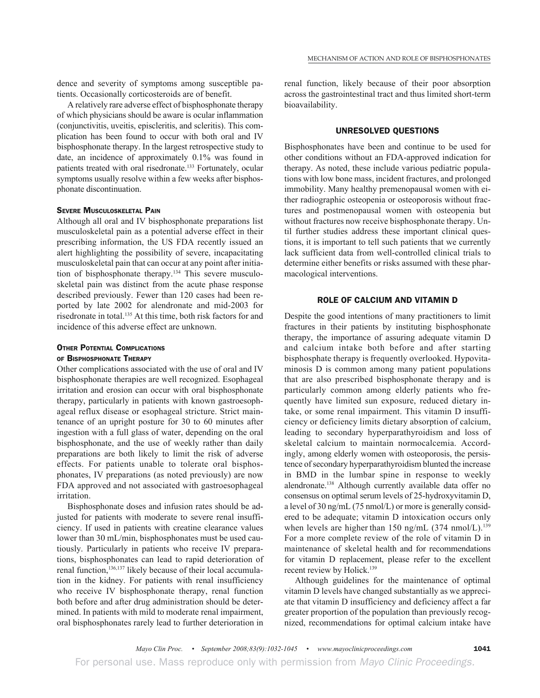dence and severity of symptoms among susceptible patients. Occasionally corticosteroids are of benefit.

A relatively rare adverse effect of bisphosphonate therapy of which physicians should be aware is ocular inflammation (conjunctivitis, uveitis, episcleritis, and scleritis). This complication has been found to occur with both oral and IV bisphosphonate therapy. In the largest retrospective study to date, an incidence of approximately 0.1% was found in patients treated with oral risedronate.<sup>133</sup> Fortunately, ocular symptoms usually resolve within a few weeks after bisphosphonate discontinuation.

### SEVERE MUSCULOSKELETAL PAIN

Although all oral and IV bisphosphonate preparations list musculoskeletal pain as a potential adverse effect in their prescribing information, the US FDA recently issued an alert highlighting the possibility of severe, incapacitating musculoskeletal pain that can occur at any point after initiation of bisphosphonate therapy.<sup>134</sup> This severe musculoskeletal pain was distinct from the acute phase response described previously. Fewer than 120 cases had been reported by late 2002 for alendronate and mid-2003 for risedronate in total.135 At this time, both risk factors for and incidence of this adverse effect are unknown.

# OTHER POTENTIAL COMPLICATIONS OF BISPHOSPHONATE THERAPY

Other complications associated with the use of oral and IV bisphosphonate therapies are well recognized. Esophageal irritation and erosion can occur with oral bisphosphonate therapy, particularly in patients with known gastroesophageal reflux disease or esophageal stricture. Strict maintenance of an upright posture for 30 to 60 minutes after ingestion with a full glass of water, depending on the oral bisphosphonate, and the use of weekly rather than daily preparations are both likely to limit the risk of adverse effects. For patients unable to tolerate oral bisphosphonates, IV preparations (as noted previously) are now FDA approved and not associated with gastroesophageal irritation.

Bisphosphonate doses and infusion rates should be adjusted for patients with moderate to severe renal insufficiency. If used in patients with creatine clearance values lower than 30 mL/min, bisphosphonates must be used cautiously. Particularly in patients who receive IV preparations, bisphosphonates can lead to rapid deterioration of renal function,<sup>136,137</sup> likely because of their local accumulation in the kidney. For patients with renal insufficiency who receive IV bisphosphonate therapy, renal function both before and after drug administration should be determined. In patients with mild to moderate renal impairment, oral bisphosphonates rarely lead to further deterioration in renal function, likely because of their poor absorption across the gastrointestinal tract and thus limited short-term bioavailability.

# UNRESOLVED QUESTIONS

Bisphosphonates have been and continue to be used for other conditions without an FDA-approved indication for therapy. As noted, these include various pediatric populations with low bone mass, incident fractures, and prolonged immobility. Many healthy premenopausal women with either radiographic osteopenia or osteoporosis without fractures and postmenopausal women with osteopenia but without fractures now receive bisphosphonate therapy. Until further studies address these important clinical questions, it is important to tell such patients that we currently lack sufficient data from well-controlled clinical trials to determine either benefits or risks assumed with these pharmacological interventions.

# ROLE OF CALCIUM AND VITAMIN D

Despite the good intentions of many practitioners to limit fractures in their patients by instituting bisphosphonate therapy, the importance of assuring adequate vitamin D and calcium intake both before and after starting bisphosphate therapy is frequently overlooked. Hypovitaminosis D is common among many patient populations that are also prescribed bisphosphonate therapy and is particularly common among elderly patients who frequently have limited sun exposure, reduced dietary intake, or some renal impairment. This vitamin D insufficiency or deficiency limits dietary absorption of calcium, leading to secondary hyperparathyroidism and loss of skeletal calcium to maintain normocalcemia. Accordingly, among elderly women with osteoporosis, the persistence of secondary hyperparathyroidism blunted the increase in BMD in the lumbar spine in response to weekly alendronate.<sup>138</sup> Although currently available data offer no consensus on optimal serum levels of 25-hydroxyvitamin D, a level of 30 ng/mL (75 nmol/L) or more is generally considered to be adequate; vitamin D intoxication occurs only when levels are higher than 150 ng/mL  $(374 \text{ nmol/L})$ .<sup>139</sup> For a more complete review of the role of vitamin D in maintenance of skeletal health and for recommendations for vitamin D replacement, please refer to the excellent recent review by Holick.<sup>139</sup>

Although guidelines for the maintenance of optimal vitamin D levels have changed substantially as we appreciate that vitamin D insufficiency and deficiency affect a far greater proportion of the population than previously recognized, recommendations for optimal calcium intake have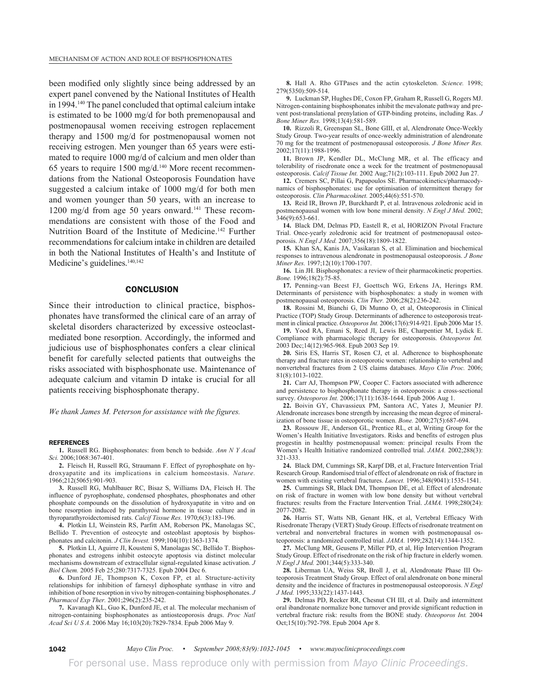been modified only slightly since being addressed by an expert panel convened by the National Institutes of Health in 1994.140 The panel concluded that optimal calcium intake is estimated to be 1000 mg/d for both premenopausal and postmenopausal women receiving estrogen replacement therapy and 1500 mg/d for postmenopausal women not receiving estrogen. Men younger than 65 years were estimated to require 1000 mg/d of calcium and men older than 65 years to require 1500 mg/d.<sup>140</sup> More recent recommendations from the National Osteoporosis Foundation have suggested a calcium intake of 1000 mg/d for both men and women younger than 50 years, with an increase to 1200 mg/d from age 50 years onward.<sup>141</sup> These recommendations are consistent with those of the Food and Nutrition Board of the Institute of Medicine.142 Further recommendations for calcium intake in children are detailed in both the National Institutes of Health's and Institute of Medicine's guidelines.<sup>140,142</sup>

#### **CONCLUSION**

Since their introduction to clinical practice, bisphosphonates have transformed the clinical care of an array of skeletal disorders characterized by excessive osteoclastmediated bone resorption. Accordingly, the informed and judicious use of bisphosphonates confers a clear clinical benefit for carefully selected patients that outweighs the risks associated with bisphosphonate use. Maintenance of adequate calcium and vitamin D intake is crucial for all patients receiving bisphosphonate therapy.

*We thank James M. Peterson for assistance with the figures.*

#### REFERENCES

**1.** Russell RG. Bisphosphonates: from bench to bedside. *Ann N Y Acad Sci.* 2006;1068:367-401.

**2.** Fleisch H, Russell RG, Straumann F. Effect of pyrophosphate on hydroxyapatite and its implications in calcium homeostasis. *Nature.* 1966;212(5065):901-903.

**3.** Russell RG, Muhlbauer RC, Bisaz S, Williams DA, Fleisch H. The influence of pyrophosphate, condensed phosphates, phosphonates and other phosphate compounds on the dissolution of hydroxyapatite in vitro and on bone resorption induced by parathyroid hormone in tissue culture and in thyroparathyroidectomised rats. *Calcif Tissue Res.* 1970;6(3):183-196.

**4.** Plotkin LI, Weinstein RS, Parfitt AM, Roberson PK, Manolagas SC, Bellido T. Prevention of osteocyte and osteoblast apoptosis by bisphosphonates and calcitonin. *J Clin Invest.* 1999;104(10):1363-1374.

**5.** Plotkin LI, Aguirre JI, Kousteni S, Manolagas SC, Bellido T. Bisphosphonates and estrogens inhibit osteocyte apoptosis via distinct molecular mechanisms downstream of extracellular signal-regulated kinase activation. *J Biol Chem.* 2005 Feb 25;280:7317-7325. Epub 2004 Dec 6.

**6.** Dunford JE, Thompson K, Coxon FP, et al. Structure-activity relationships for inhibition of farnesyl diphosphate synthase in vitro and inhibition of bone resorption in vivo by nitrogen-containing bisphosphonates. *J Pharmacol Exp Ther.* 2001;296(2):235-242.

**7.** Kavanagh KL, Guo K, Dunford JE, et al. The molecular mechanism of nitrogen-containing bisphosphonates as antiosteoporosis drugs. *Proc Natl Acad Sci U S A.* 2006 May 16;103(20):7829-7834. Epub 2006 May 9.

**8.** Hall A. Rho GTPases and the actin cytoskeleton. *Science.* 1998; 279(5350):509-514.

**9.** Luckman SP, Hughes DE, Coxon FP, Graham R, Russell G, Rogers MJ. Nitrogen-containing bisphosphonates inhibit the mevalonate pathway and prevent post-translational prenylation of GTP-binding proteins, including Ras. *J Bone Miner Res.* 1998;13(4):581-589.

**10.** Rizzoli R, Greenspan SL, Bone GIII, et al, Alendronate Once-Weekly Study Group. Two-year results of once-weekly administration of alendronate 70 mg for the treatment of postmenopausal osteoporosis. *J Bone Miner Res.* 2002;17(11):1988-1996.

**11.** Brown JP, Kendler DL, McClung MR, et al. The efficacy and tolerability of risedronate once a week for the treatment of postmenopausal osteoporosis. *Calcif Tissue Int.* 2002 Aug;71(2):103-111. Epub 2002 Jun 27.

**12.** Cremers SC, Pillai G, Papapoulos SE. Pharmacokinetics/pharmacodynamics of bisphosphonates: use for optimisation of intermittent therapy for osteoporosis. *Clin Pharmacokinet.* 2005;44(6):551-570.

**13.** Reid IR, Brown JP, Burckhardt P, et al. Intravenous zoledronic acid in postmenopausal women with low bone mineral density. *N Engl J Med.* 2002; 346(9):653-661.

**14.** Black DM, Delmas PD, Eastell R, et al, HORIZON Pivotal Fracture Trial. Once-yearly zoledronic acid for treatment of postmenopausal osteoporosis. *N Engl J Med.* 2007;356(18):1809-1822.

**15.** Khan SA, Kanis JA, Vasikaran S, et al. Elimination and biochemical responses to intravenous alendronate in postmenopausal osteoporosis. *J Bone Miner Res.* 1997;12(10):1700-1707.

**16.** Lin JH. Bisphosphonates: a review of their pharmacokinetic properties. *Bone.* 1996;18(2):75-85.

**17.** Penning-van Beest FJ, Goettsch WG, Erkens JA, Herings RM. Determinants of persistence with bisphosphonates: a study in women with postmenopausal osteoporosis. *Clin Ther.* 2006;28(2):236-242.

**18.** Rossini M, Bianchi G, Di Munno O, et al, Osteoporosis in Clinical Practice (TOP) Study Group. Determinants of adherence to osteoporosis treatment in clinical practice. *Osteoporos Int.* 2006;17(6):914-921. Epub 2006 Mar 15.

**19.** Yood RA, Emani S, Reed JI, Lewis BE, Charpentier M, Lydick E. Compliance with pharmacologic therapy for osteoporosis. *Osteoporos Int.* 2003 Dec;14(12):965-968. Epub 2003 Sep 19.

**20.** Siris ES, Harris ST, Rosen CJ, et al. Adherence to bisphosphonate therapy and fracture rates in osteoporotic women: relationship to vertebral and nonvertebral fractures from 2 US claims databases. *Mayo Clin Proc.* 2006; 81(8):1013-1022.

**21.** Carr AJ, Thompson PW, Cooper C. Factors associated with adherence and persistence to bisphosphonate therapy in osteoporosis: a cross-sectional survey. *Osteoporos Int.* 2006;17(11):1638-1644. Epub 2006 Aug 1.

**22.** Boivin GY, Chavassieux PM, Santora AC, Yates J, Meunier PJ. Alendronate increases bone strength by increasing the mean degree of mineralization of bone tissue in osteoporotic women. *Bone.* 2000;27(5):687-694.

**23.** Rossouw JE, Anderson GL, Prentice RL, et al, Writing Group for the Women's Health Initiative Investigators. Risks and benefits of estrogen plus progestin in healthy postmenopausal women: principal results From the Women's Health Initiative randomized controlled trial. *JAMA.* 2002;288(3): 321-333.

**24.** Black DM, Cummings SR, Karpf DB, et al, Fracture Intervention Trial Research Group. Randomised trial of effect of alendronate on risk of fracture in women with existing vertebral fractures. *Lancet.* 1996;348(9041):1535-1541.

**25.** Cummings SR, Black DM, Thompson DE, et al. Effect of alendronate on risk of fracture in women with low bone density but without vertebral fractures: results from the Fracture Intervention Trial. *JAMA.* 1998;280(24): 2077-2082.

**26.** Harris ST, Watts NB, Genant HK, et al, Vertebral Efficacy With Risedronate Therapy (VERT) Study Group. Effects of risedronate treatment on vertebral and nonvertebral fractures in women with postmenopausal osteoporosis: a randomized controlled trial. *JAMA.* 1999;282(14):1344-1352.

**27.** McClung MR, Geusens P, Miller PD, et al, Hip Intervention Program Study Group. Effect of risedronate on the risk of hip fracture in elderly women. *N Engl J Med.* 2001;344(5):333-340.

**28.** Liberman UA, Weiss SR, Broll J, et al, Alendronate Phase III Osteoporosis Treatment Study Group. Effect of oral alendronate on bone mineral density and the incidence of fractures in postmenopausal osteoporosis. *N Engl J Med.* 1995;333(22):1437-1443.

**29.** Delmas PD, Recker RR, Chesnut CH III, et al. Daily and intermittent oral ibandronate normalize bone turnover and provide significant reduction in vertebral fracture risk: results from the BONE study. *Osteoporos Int.* 2004 Oct;15(10):792-798. Epub 2004 Apr 8.

1042 *Mayo Clin Proc. • September 2008;83(9):1032-1045 • www.mayoclinicproceedings.com*

For personal use. Mass reproduce only with permission from Mayo Clinic Proceedings.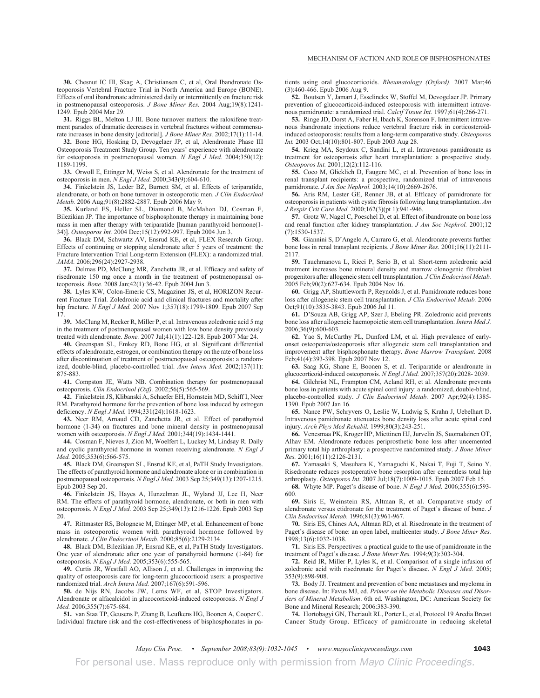**30.** Chesnut IC III, Skag A, Christiansen C, et al, Oral Ibandronate Osteoporosis Vertebral Fracture Trial in North America and Europe (BONE). Effects of oral ibandronate administered daily or intermittently on fracture risk in postmenopausal osteoporosis. *J Bone Miner Res.* 2004 Aug;19(8):1241- 1249. Epub 2004 Mar 29.

**31.** Riggs BL, Melton LJ III. Bone turnover matters: the raloxifene treatment paradox of dramatic decreases in vertebral fractures without commensurate increases in bone density [editorial]. *J Bone Miner Res.* 2002;17(1):11-14.

**32.** Bone HG, Hosking D, Devogelaer JP, et al, Alendronate Phase III Osteoporosis Treatment Study Group. Ten years' experience with alendronate for osteoporosis in postmenopausal women. *N Engl J Med.* 2004;350(12): 1189-1199.

**33.** Orwoll E, Ettinger M, Weiss S, et al. Alendronate for the treatment of osteoporosis in men. *N Engl J Med.* 2000;343(9):604-610.

**34.** Finkelstein JS, Leder BZ, Burnett SM, et al. Effects of teriparatide, alendronate, or both on bone turnover in osteoporotic men. *J Clin Endocrinol Metab.* 2006 Aug;91(8):2882-2887. Epub 2006 May 9.

**35.** Kurland ES, Heller SL, Diamond B, McMahon DJ, Cosman F, Bilezikian JP. The importance of bisphosphonate therapy in maintaining bone mass in men after therapy with teriparatide [human parathyroid hormone(1- 34)]. *Osteoporos Int.* 2004 Dec;15(12):992-997. Epub 2004 Jun 3.

**36.** Black DM, Schwartz AV, Ensrud KE, et al, FLEX Research Group. Effects of continuing or stopping alendronate after 5 years of treatment: the Fracture Intervention Trial Long-term Extension (FLEX): a randomized trial. *JAMA.* 2006;296(24):2927-2938.

**37.** Delmas PD, McClung MR, Zanchetta JR, et al. Efficacy and safety of risedronate 150 mg once a month in the treatment of postmenopausal osteoporosis. *Bone.* 2008 Jan;42(1):36-42. Epub 2004 Jun 3.

**38.** Lyles KW, Colon-Emeric CS, Magaziner JS, et al, HORIZON Recurrent Fracture Trial. Zoledronic acid and clinical fractures and mortality after hip fracture. *N Engl J Med.* 2007 Nov 1;357(18):1799-1809. Epub 2007 Sep 17.

**39.** McClung M, Recker R, Miller P, et al. Intravenous zoledronic acid 5 mg in the treatment of postmenopausal women with low bone density previously treated with alendronate. *Bone.* 2007 Jul;41(1):122-128. Epub 2007 Mar 24.

**40.** Greenspan SL, Emkey RD, Bone HG, et al. Significant differential effects of alendronate, estrogen, or combination therapy on the rate of bone loss after discontinuation of treatment of postmenopausal osteoporosis: a randomized, double-blind, placebo-controlled trial. *Ann Intern Med.* 2002;137(11): 875-883.

**41.** Compston JE, Watts NB. Combination therapy for postmenopausal osteoporosis. *Clin Endocrinol (Oxf).* 2002;56(5):565-569.

**42.** Finkelstein JS, Klibanski A, Schaefer EH, Hornstein MD, Schiff I, Neer RM. Parathyroid hormone for the prevention of bone loss induced by estrogen deficiency. *N Engl J Med.* 1994;331(24):1618-1623.

**43.** Neer RM, Arnaud CD, Zanchetta JR, et al. Effect of parathyroid hormone (1-34) on fractures and bone mineral density in postmenopausal women with osteoporosis. *N Engl J Med.* 2001;344(19):1434-1441.

**44.** Cosman F, Nieves J, Zion M, Woelfert L, Luckey M, Lindsay R. Daily and cyclic parathyroid hormone in women receiving alendronate. *N Engl J Med.* 2005;353(6):566-575.

**45.** Black DM, Greenspan SL, Ensrud KE, et al, PaTH Study Investigators. The effects of parathyroid hormone and alendronate alone or in combination in postmenopausal osteoporosis. *N Engl J Med.* 2003 Sep 25;349(13):1207-1215. Epub 2003 Sep 20.

**46.** Finkelstein JS, Hayes A, Hunzelman JL, Wyland JJ, Lee H, Neer RM. The effects of parathyroid hormone, alendronate, or both in men with osteoporosis. *N Engl J Med.* 2003 Sep 25;349(13):1216-1226. Epub 2003 Sep 20.

**47.** Rittmaster RS, Bolognese M, Ettinger MP, et al. Enhancement of bone mass in osteoporotic women with parathyroid hormone followed by alendronate. *J Clin Endocrinol Metab.* 2000;85(6):2129-2134.

**48.** Black DM, Bilezikian JP, Ensrud KE, et al, PaTH Study Investigators. One year of alendronate after one year of parathyroid hormone (1-84) for osteoporosis. *N Engl J Med.* 2005;353(6):555-565.

**49.** Curtis JR, Westfall AO, Allison J, et al. Challenges in improving the quality of osteoporosis care for long-term glucocorticoid users: a prospective randomized trial. *Arch Intern Med.* 2007;167(6):591-596.

**50.** de Nijs RN, Jacobs JW, Lems WF, et al, STOP Investigators. Alendronate or alfacalcidol in glucocorticoid-induced osteoporosis. *N Engl J Med.* 2006;355(7):675-684.

**51.** van Staa TP, Geusens P, Zhang B, Leufkens HG, Boonen A, Cooper C. Individual fracture risk and the cost-effectiveness of bisphosphonates in patients using oral glucocorticoids. *Rheumatology (Oxford).* 2007 Mar;46 (3):460-466. Epub 2006 Aug 9.

**52.** Boutsen Y, Jamart J, Esselinckx W, Stoffel M, Devogelaer JP. Primary prevention of glucocorticoid-induced osteoporosis with intermittent intravenous pamidronate: a randomized trial. *Calcif Tissue Int.* 1997;61(4):266-271.

**53.** Ringe JD, Dorst A, Faber H, Ibach K, Sorenson F. Intermittent intravenous ibandronate injections reduce vertebral fracture risk in corticosteroidinduced osteoporosis: results from a long-term comparative study. *Osteoporos Int.* 2003 Oct;14(10):801-807. Epub 2003 Aug 28.

**54.** Krieg MA, Seydoux C, Sandini L, et al. Intravenous pamidronate as treatment for osteoporosis after heart transplantation: a prospective study. *Osteoporos Int.* 2001;12(2):112-116.

**55.** Coco M, Glicklich D, Faugere MC, et al. Prevention of bone loss in renal transplant recipients: a prospective, randomized trial of intravenous pamidronate. *J Am Soc Nephrol.* 2003;14(10):2669-2676.

**56.** Aris RM, Lester GE, Renner JB, et al. Efficacy of pamidronate for osteoporosis in patients with cystic fibrosis following lung transplantation. *Am J Respir Crit Care Med.* 2000;162(3)(pt 1):941-946.

**57.** Grotz W, Nagel C, Poeschel D, et al. Effect of ibandronate on bone loss and renal function after kidney transplantation. *J Am Soc Nephrol.* 2001;12 (7):1530-1537.

**58.** Giannini S, D'Angelo A, Carraro G, et al. Alendronate prevents further bone loss in renal transplant recipients. *J Bone Miner Res.* 2001;16(11):2111- 2117.

**59.** Tauchmanova L, Ricci P, Serio B, et al. Short-term zoledronic acid treatment increases bone mineral density and marrow clonogenic fibroblast progenitors after allogeneic stem cell transplantation. *J Clin Endocrinol Metab.* 2005 Feb;90(2):627-634. Epub 2004 Nov 16.

**60.** Grigg AP, Shuttleworth P, Reynolds J, et al. Pamidronate reduces bone loss after allogeneic stem cell transplantation. *J Clin Endocrinol Metab.* 2006 Oct;91(10):3835-3843. Epub 2006 Jul 11.

**61.** D'Souza AB, Grigg AP, Szer J, Ebeling PR. Zoledronic acid prevents bone loss after allogeneic haemopoietic stem cell transplantation. *Intern Med J.* 2006;36(9):600-603.

**62.** Yao S, McCarthy PL, Dunford LM, et al. High prevalence of earlyonset osteopenia/osteoporosis after allogeneic stem cell transplantation and improvement after bisphosphonate therapy. *Bone Marrow Transplant.* 2008 Feb;41(4):393-398. Epub 2007 Nov 12.

**63.** Saag KG, Shane E, Boonen S, et al. Teriparatide or alendronate in glucocorticoid-induced osteoporosis. *N Engl J Med.* 2007;357(20):2028- 2039.

**64.** Gilchrist NL, Frampton CM, Acland RH, et al. Alendronate prevents bone loss in patients with acute spinal cord injury: a randomized, double-blind, placebo-controlled study. *J Clin Endocrinol Metab.* 2007 Apr;92(4):1385- 1390. Epub 2007 Jan 16.

**65.** Nance PW, Schryvers O, Leslie W, Ludwig S, Krahn J, Uebelhart D. Intravenous pamidronate attenuates bone density loss after acute spinal cord injury. *Arch Phys Med Rehabil.* 1999;80(3):243-251.

**66.** Venesmaa PK, Kroger HP, Miettinen HJ, Jurvelin JS, Suomalainen OT, Alhav EM. Alendronate reduces periprosthetic bone loss after uncemented primary total hip arthroplasty: a prospective randomized study. *J Bone Miner Res.* 2001;16(11):2126-2131.

**67.** Yamasaki S, Masuhara K, Yamaguchi K, Nakai T, Fuji T, Seino Y. Risedronate reduces postoperative bone resorption after cementless total hip arthroplasty. *Osteoporos Int.* 2007 Jul;18(7):1009-1015. Epub 2007 Feb 15.

**68.** Whyte MP. Paget's disease of bone. *N Engl J Med.* 2006;355(6):593- 600.

**69.** Siris E, Weinstein RS, Altman R, et al. Comparative study of alendronate versus etidronate for the treatment of Paget's disease of bone. *J Clin Endocrinol Metab.* 1996;81(3):961-967.

**70.** Siris ES, Chines AA, Altman RD, et al. Risedronate in the treatment of Paget's disease of bone: an open label, multicenter study. *J Bone Miner Res.* 1998;13(6):1032-1038.

**71.** Siris ES. Perspectives: a practical guide to the use of pamidronate in the treatment of Paget's disease. *J Bone Miner Res.* 1994;9(3):303-304.

**72.** Reid IR, Miller P, Lyles K, et al. Comparison of a single infusion of zoledronic acid with risedronate for Paget's disease. *N Engl J Med.* 2005; 353(9):898-908.

**73.** Body JJ. Treatment and prevention of bone metastases and myeloma in bone disease. In: Favus MJ, ed. *Primer on the Metabolic Diseases and Disorders of Mineral Metabolism*. 6th ed. Washington, DC: American Society for Bone and Mineral Research; 2006:383-390.

**74.** Hortobagyi GN, Theriault RL, Porter L, et al, Protocol 19 Aredia Breast Cancer Study Group. Efficacy of pamidronate in reducing skeletal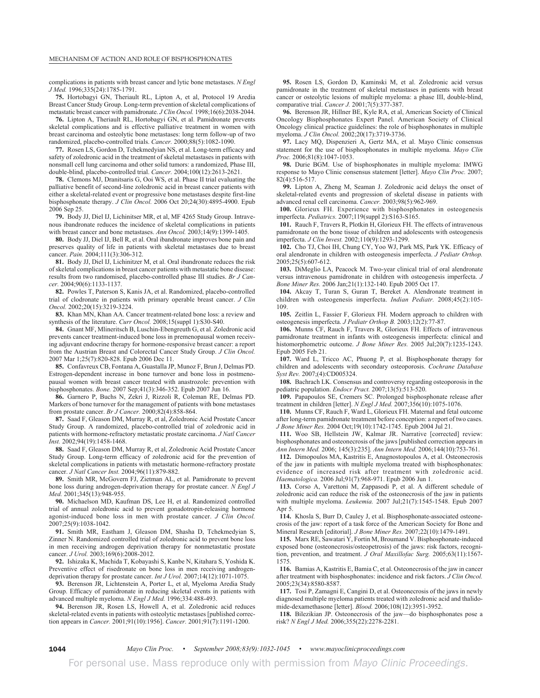complications in patients with breast cancer and lytic bone metastases. *N Engl J Med.* 1996;335(24):1785-1791.

**75.** Hortobagyi GN, Theriault RL, Lipton A, et al, Protocol 19 Aredia Breast Cancer Study Group. Long-term prevention of skeletal complications of metastatic breast cancer with pamidronate. *J Clin Oncol.* 1998;16(6):2038-2044.

**76.** Lipton A, Theriault RL, Hortobagyi GN, et al. Pamidronate prevents skeletal complications and is effective palliative treatment in women with breast carcinoma and osteolytic bone metastases: long term follow-up of two randomized, placebo-controlled trials. *Cancer.* 2000;88(5):1082-1090.

**77.** Rosen LS, Gordon D, Tchekmedyian NS, et al. Long-term efficacy and safety of zoledronic acid in the treatment of skeletal metastases in patients with nonsmall cell lung carcinoma and other solid tumors: a randomized, Phase III, double-blind, placebo-controlled trial. *Cancer.* 2004;100(12):2613-2621.

**78.** Clemons MJ, Dranitsaris G, Ooi WS, et al. Phase II trial evaluating the palliative benefit of second-line zoledronic acid in breast cancer patients with either a skeletal-related event or progressive bone metastases despite first-line bisphosphonate therapy. *J Clin Oncol.* 2006 Oct 20;24(30):4895-4900. Epub 2006 Sep 25.

**79.** Body JJ, Diel IJ, Lichinitser MR, et al, MF 4265 Study Group. Intravenous ibandronate reduces the incidence of skeletal complications in patients with breast cancer and bone metastases. *Ann Oncol.* 2003;14(9):1399-1405.

**80.** Body JJ, Diel IJ, Bell R, et al. Oral ibandronate improves bone pain and preserves quality of life in patients with skeletal metastases due to breast cancer. *Pain.* 2004;111(3):306-312.

**81.** Body JJ, Diel IJ, Lichinitzer M, et al. Oral ibandronate reduces the risk of skeletal complications in breast cancer patients with metastatic bone disease: results from two randomised, placebo-controlled phase III studies. *Br J Cancer.* 2004;90(6):1133-1137.

**82.** Powles T, Paterson S, Kanis JA, et al. Randomized, placebo-controlled trial of clodronate in patients with primary operable breast cancer. *J Clin Oncol.* 2002;20(15):3219-3224.

**83.** Khan MN, Khan AA. Cancer treatment-related bone loss: a review and synthesis of the literature. *Curr Oncol.* 2008;15(suppl 1):S30-S40.

**84.** Gnant MF, Mlineritsch B, Luschin-Ebengreuth G, et al. Zoledronic acid prevents cancer treatment-induced bone loss in premenopausal women receiving adjuvant endocrine therapy for hormone-responsive breast cancer: a report from the Austrian Breast and Colorectal Cancer Study Group. *J Clin Oncol.* 2007 Mar 1;25(7):820-828. Epub 2006 Dec 11.

**85.** Confavreux CB, Fontana A, Guastalla JP, Munoz F, Brun J, Delmas PD. Estrogen-dependent increase in bone turnover and bone loss in postmenopausal women with breast cancer treated with anastrozole: prevention with bisphosphonates. *Bone.* 2007 Sep;41(3):346-352. Epub 2007 Jun 16.

**86.** Garnero P, Buchs N, Zekri J, Rizzoli R, Coleman RE, Delmas PD. Markers of bone turnover for the management of patients with bone metastases from prostate cancer. *Br J Cancer.* 2000;82(4):858-864.

**87.** Saad F, Gleason DM, Murray R, et al, Zoledronic Acid Prostate Cancer Study Group. A randomized, placebo-controlled trial of zoledronic acid in patients with hormone-refractory metastatic prostate carcinoma. *J Natl Cancer Inst.* 2002;94(19):1458-1468.

**88.** Saad F, Gleason DM, Murray R, et al, Zoledronic Acid Prostate Cancer Study Group. Long-term efficacy of zoledronic acid for the prevention of skeletal complications in patients with metastatic hormone-refractory prostate cancer. *J Natl Cancer Inst.* 2004;96(11):879-882.

**89.** Smith MR, McGovern FJ, Zietman AL, et al. Pamidronate to prevent bone loss during androgen-deprivation therapy for prostate cancer. *N Engl J Med.* 2001;345(13):948-955.

**90.** Michaelson MD, Kaufman DS, Lee H, et al. Randomized controlled trial of annual zoledronic acid to prevent gonadotropin-releasing hormone agonist-induced bone loss in men with prostate cancer. *J Clin Oncol.* 2007;25(9):1038-1042.

**91.** Smith MR, Eastham J, Gleason DM, Shasha D, Tchekmedyian S, Zinner N. Randomized controlled trial of zoledronic acid to prevent bone loss in men receiving androgen deprivation therapy for nonmetastatic prostate cancer. *J Urol.* 2003;169(6):2008-2012.

**92.** Ishizaka K, Machida T, Kobayashi S, Kanbe N, Kitahara S, Yoshida K. Preventive effect of risedronate on bone loss in men receiving androgendeprivation therapy for prostate cancer. *Int J Urol.* 2007;14(12):1071-1075.

**93.** Berenson JR, Lichtenstein A, Porter L, et al, Myeloma Aredia Study Group. Efficacy of pamidronate in reducing skeletal events in patients with advanced multiple myeloma. *N Engl J Med.* 1996;334:488-493.

**94.** Berenson JR, Rosen LS, Howell A, et al. Zoledronic acid reduces skeletal-related events in patients with osteolytic metastases [published correction appears in *Cancer.* 2001;91(10):1956]. *Cancer.* 2001;91(7):1191-1200.

**95.** Rosen LS, Gordon D, Kaminski M, et al. Zoledronic acid versus pamidronate in the treatment of skeletal metastases in patients with breast cancer or osteolytic lesions of multiple myeloma: a phase III, double-blind, comparative trial. *Cancer J.* 2001;7(5):377-387.

**96.** Berenson JR, Hillner BE, Kyle RA, et al, American Society of Clinical Oncology Bisphosphonates Expert Panel. American Society of Clinical Oncology clinical practice guidelines: the role of bisphosphonates in multiple myeloma. *J Clin Oncol.* 2002;20(17):3719-3736.

**97.** Lacy MQ, Dispenzieri A, Gertz MA, et al. Mayo Clinic consensus statement for the use of bisphosphonates in multiple myeloma. *Mayo Clin Proc.* 2006;81(8):1047-1053.

**98.** Durie BGM. Use of bisphosphonates in multiple myeloma: IMWG response to Mayo Clinic consensus statement [letter]. *Mayo Clin Proc.* 2007; 82(4):516-517.

**99.** Lipton A, Zheng M, Seaman J. Zoledronic acid delays the onset of skeletal-related events and progression of skeletal disease in patients with advanced renal cell carcinoma. *Cancer.* 2003;98(5):962-969.

**100.** Glorieux FH. Experience with bisphosphonates in osteogenesis imperfecta. *Pediatrics.* 2007;119(suppl 2):S163-S165.

**101.** Rauch F, Travers R, Plotkin H, Glorieux FH. The effects of intravenous pamidronate on the bone tissue of children and adolescents with osteogenesis imperfecta. *J Clin Invest.* 2002;110(9):1293-1299.

**102.** Cho TJ, Choi IH, Chung CY, Yoo WJ, Park MS, Park YK. Efficacy of oral alendronate in children with osteogenesis imperfecta. *J Pediatr Orthop.* 2005;25(5):607-612.

**103.** DiMeglio LA, Peacock M. Two-year clinical trial of oral alendronate versus intravenous pamidronate in children with osteogenesis imperfecta. *J Bone Miner Res.* 2006 Jan;21(1):132-140. Epub 2005 Oct 17.

**104.** Akcay T, Turan S, Guran T, Bereket A. Alendronate treatment in children with osteogenesis imperfecta. *Indian Pediatr.* 2008;45(2):105- 109.

**105.** Zeitlin L, Fassier F, Glorieux FH. Modern approach to children with osteogenesis imperfecta. *J Pediatr Orthop B.* 2003;12(2):77-87.

**106.** Munns CF, Rauch F, Travers R, Glorieux FH. Effects of intravenous pamidronate treatment in infants with osteogenesis imperfecta: clinical and histomorphometric outcome. *J Bone Miner Res.* 2005 Jul;20(7):1235-1243. Epub 2005 Feb 21.

**107.** Ward L, Tricco AC, Phuong P, et al. Bisphosphonate therapy for children and adolescents with secondary osteoporosis. *Cochrane Database Syst Rev.* 2007;(4):CD005324.

**108.** Bachrach LK. Consensus and controversy regarding osteoporosis in the pediatric population. *Endocr Pract.* 2007;13(5):513-520.

**109.** Papapoulos SE, Cremers SC. Prolonged bisphosphonate release after treatment in children [letter]. *N Engl J Med.* 2007;356(10):1075-1076.

**110.** Munns CF, Rauch F, Ward L, Glorieux FH. Maternal and fetal outcome after long-term pamidronate treatment before conception: a report of two cases. *J Bone Miner Res.* 2004 Oct;19(10):1742-1745. Epub 2004 Jul 21.

**111.** Woo SB, Hellstein JW, Kalmar JR. Narrative [corrected] review: bisphosphonates and osteonecrosis of the jaws [published correction appears in *Ann Intern Med.* 2006; 145(3):235]. *Ann Intern Med.* 2006;144(10):753-761.

**112.** Dimopoulos MA, Kastritis E, Anagnostopoulos A, et al. Osteonecrosis of the jaw in patients with multiple myeloma treated with bisphosphonates: evidence of increased risk after treatment with zoledronic acid. *Haematologica.* 2006 Jul;91(7):968-971. Epub 2006 Jun 1.

**113.** Corso A, Varettoni M, Zappasodi P, et al. A different schedule of zoledronic acid can reduce the risk of the osteonecrosis of the jaw in patients with multiple myeloma. *Leukemia.* 2007 Jul;21(7):1545-1548. Epub 2007 Apr 5.

**114.** Khosla S, Burr D, Cauley J, et al. Bisphosphonate-associated osteonecrosis of the jaw: report of a task force of the American Society for Bone and Mineral Research [editorial]. *J Bone Miner Res.* 2007;22(10):1479-1491.

**115.** Marx RE, Sawatari Y, Fortin M, Broumand V. Bisphosphonate-induced exposed bone (osteonecrosis/osteopetrosis) of the jaws: risk factors, recognition, prevention, and treatment. *J Oral Maxillofac Surg.* 2005;63(11):1567- 1575.

**116.** Bamias A, Kastritis E, Bamia C, et al. Osteonecrosis of the jaw in cancer after treatment with bisphosphonates: incidence and risk factors. *J Clin Oncol.* 2005;23(34):8580-8587.

**117.** Tosi P, Zamagni E, Cangini D, et al. Osteonecrosis of the jaws in newly diagnosed multiple myeloma patients treated with zoledronic acid and thalidomide-dexamethasone [letter]. *Blood.* 2006;108(12):3951-3952.

**118.** Bilezikian JP. Osteonecrosis of the jaw—do bisphosphonates pose a risk? *N Engl J Med.* 2006;355(22):2278-2281.